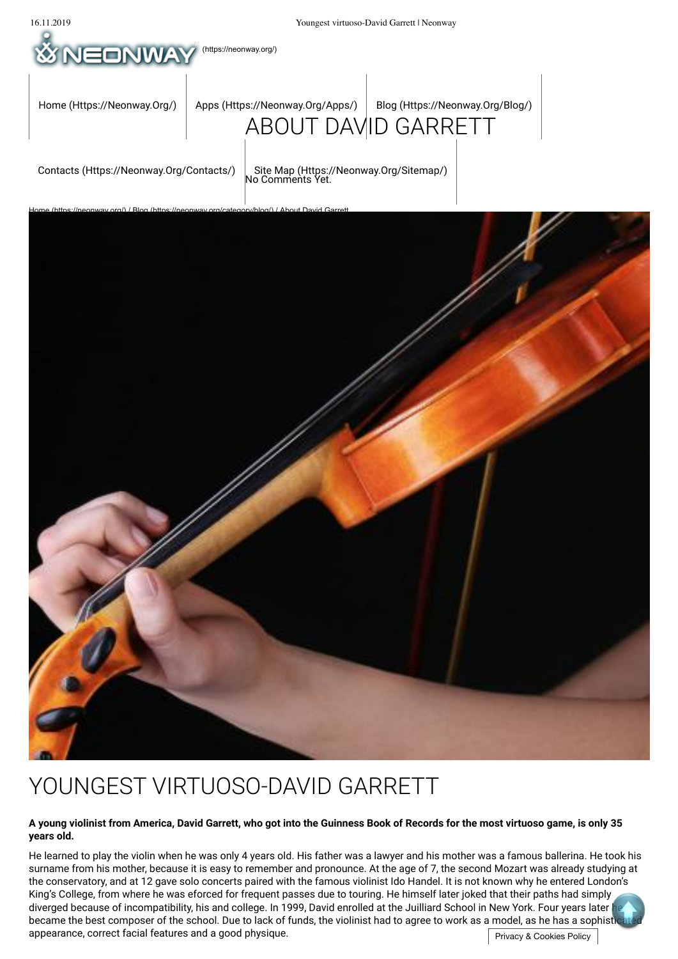

# YOUNGEST VIRTUOSO-DAVID GARRETT

#### **A young violinist from America, David Garrett, who got into the Guinness Book of Records for the most virtuoso game, is only 35 years old.**

appearance, correct facial features and a good physique.  $\Box$  The state of the state of privacy & Cookies Policy  $\Box$ He learned to play the violin when he was only 4 years old. His father was a lawyer and his mother was a famous ballerina. He took his surname from his mother, because it is easy to remember and pronounce. At the age of 7, the second Mozart was already studying at the conservatory, and at 12 gave solo concerts paired with the famous violinist Ido Handel. It is not known why he entered London's King's College, from where he was eforced for frequent passes due to touring. He himself later joked that their paths had simply diverged because of incompatibility, his and college. In 1999, David enrolled at the Juilliard School in New York. Four years later he became the best composer of the school. Due to lack of funds, the violinist had to agree to work as a model, as he has a sophist

Privacy & Cookies Policy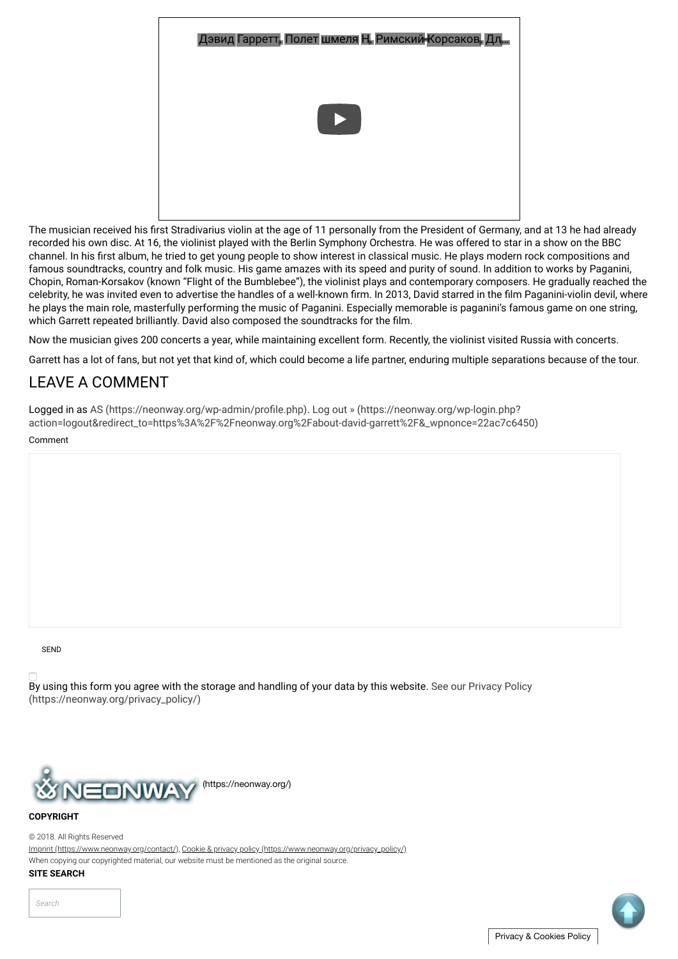| Дэвид Гарретт, Полет шмеля Н. Римский-Корсаков, Дл. |
|-----------------------------------------------------|
|                                                     |
|                                                     |

The musician received his first Stradivarius violin at the age of 11 personally from the President of Germany, and at 13 he had already recorded his own disc. At 16, the violinist played with the Berlin Symphony Orchestra. He was offered to star in a show on the BBC channel. In his first album, he tried to get young people to show interest in classical music. He plays modern rock compositions and famous soundtracks, country and folk music. His game amazes with its speed and purity of sound. In addition to works by Paganini, Chopin, Roman-Korsakov (known "Flight of the Bumblebee"), the violinist plays and contemporary composers. He gradually reached the celebrity, he was invited even to advertise the handles of a well-known firm. In 2013, David starred in the film Paganini-violin devil, where he plays the main role, masterfully performing the music of Paganini. Especially memorable is paganini's famous game on one string, which Garrett repeated brilliantly. David also composed the soundtracks for the film.

Now the musician gives 200 concerts a year, while maintaining excellent form. Recently, the violinist visited Russia with concerts.

Garrett has a lot of fans, but not yet that kind of, which could become a life partner, enduring multiple separations because of the tour.

# LEAVE A COMMENT

Comment Logged in as AS (https://neonway.org/wp-admin/profile.php). Log out » (https://neonway.org/wp-login.php? action=logout&redirect\_to=https%3A%2F%2Fneonway.org%2Fabout-david-garrett%2F&\_wpnonce=22ac7c6450)

SEND

By using this form you agree with the storage and handling of your data by this website. See our Privacy Policy (https://neonway.org/privacy\_policy/)



## **COPYRIGHT**

© 2018. All Rights Reserved

Imprint (https://www.neonway.org/contact/), Cookie & privacy policy (https://www.neonway.org/privacy\_policy/)

When copying our copyrighted material, our website must be mentioned as the original source.

## **SITE SEARCH**